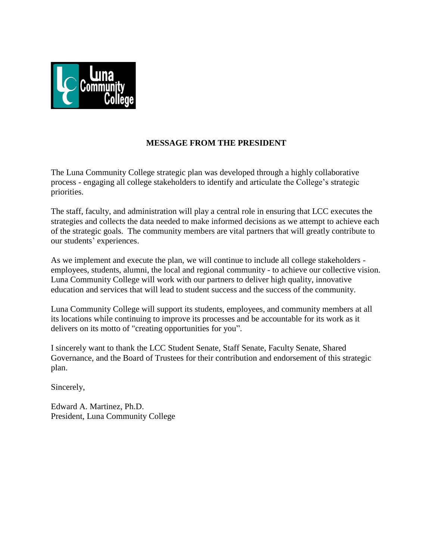

# **MESSAGE FROM THE PRESIDENT**

The Luna Community College strategic plan was developed through a highly collaborative process - engaging all college stakeholders to identify and articulate the College's strategic priorities.

The staff, faculty, and administration will play a central role in ensuring that LCC executes the strategies and collects the data needed to make informed decisions as we attempt to achieve each of the strategic goals. The community members are vital partners that will greatly contribute to our students' experiences.

As we implement and execute the plan, we will continue to include all college stakeholders employees, students, alumni, the local and regional community - to achieve our collective vision. Luna Community College will work with our partners to deliver high quality, innovative education and services that will lead to student success and the success of the community.

Luna Community College will support its students, employees, and community members at all its locations while continuing to improve its processes and be accountable for its work as it delivers on its motto of "creating opportunities for you".

I sincerely want to thank the LCC Student Senate, Staff Senate, Faculty Senate, Shared Governance, and the Board of Trustees for their contribution and endorsement of this strategic plan.

Sincerely,

Edward A. Martinez, Ph.D. President, Luna Community College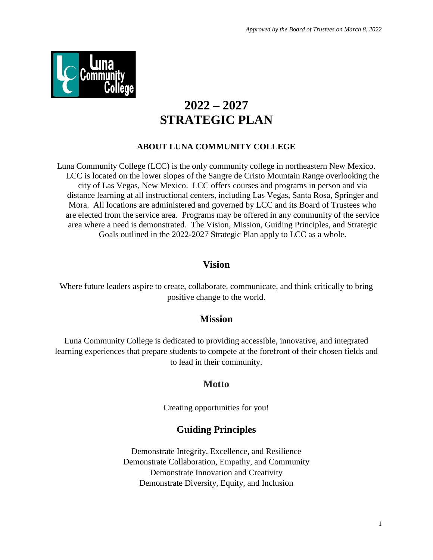

# **2022 – 2027 STRATEGIC PLAN**

## **ABOUT LUNA COMMUNITY COLLEGE**

Luna Community College (LCC) is the only community college in northeastern New Mexico. LCC is located on the lower slopes of the Sangre de Cristo Mountain Range overlooking the city of Las Vegas, New Mexico. LCC offers courses and programs in person and via distance learning at all instructional centers, including Las Vegas, Santa Rosa, Springer and Mora. All locations are administered and governed by LCC and its Board of Trustees who are elected from the service area. Programs may be offered in any community of the service area where a need is demonstrated. The Vision, Mission, Guiding Principles, and Strategic Goals outlined in the 2022-2027 Strategic Plan apply to LCC as a whole.

# **Vision**

Where future leaders aspire to create, collaborate, communicate, and think critically to bring positive change to the world.

#### **Mission**

Luna Community College is dedicated to providing accessible, innovative, and integrated learning experiences that prepare students to compete at the forefront of their chosen fields and to lead in their community.

# **Motto**

Creating opportunities for you!

# **Guiding Principles**

Demonstrate Integrity, Excellence, and Resilience Demonstrate Collaboration, Empathy, and Community Demonstrate Innovation and Creativity Demonstrate Diversity, Equity, and Inclusion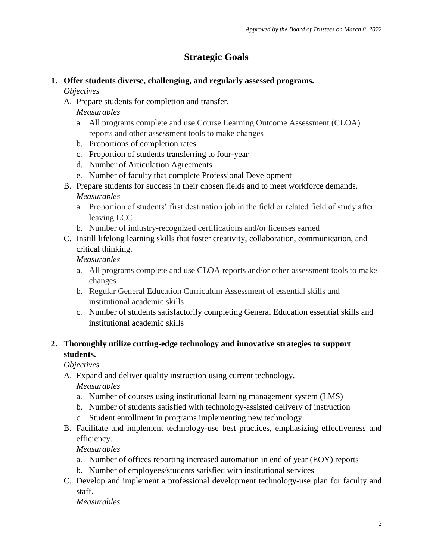# **Strategic Goals**

# **1. Offer students diverse, challenging, and regularly assessed programs.**

## *Objectives*

A. Prepare students for completion and transfer.

*Measurables*

- a. All programs complete and use Course Learning Outcome Assessment (CLOA) reports and other assessment tools to make changes
- b. Proportions of completion rates
- c. Proportion of students transferring to four-year
- d. Number of Articulation Agreements
- e. Number of faculty that complete Professional Development
- B. Prepare students for success in their chosen fields and to meet workforce demands.

## *Measurables*

- a. Proportion of students' first destination job in the field or related field of study after leaving LCC
- b. Number of industry-recognized certifications and/or licenses earned
- C. Instill lifelong learning skills that foster creativity, collaboration, communication, and critical thinking.

## *Measurables*

- a. All programs complete and use CLOA reports and/or other assessment tools to make changes
- b. Regular General Education Curriculum Assessment of essential skills and institutional academic skills
- c. Number of students satisfactorily completing General Education essential skills and institutional academic skills

# **2. Thoroughly utilize cutting-edge technology and innovative strategies to support students.**

*Objectives* 

- A. Expand and deliver quality instruction using current technology. *Measurables*
	- a. Number of courses using institutional learning management system (LMS)
	- b. Number of students satisfied with technology-assisted delivery of instruction
	- c. Student enrollment in programs implementing new technology
- B. Facilitate and implement technology-use best practices, emphasizing effectiveness and efficiency.

*Measurables*

- a. Number of offices reporting increased automation in end of year (EOY) reports
- b. Number of employees/students satisfied with institutional services
- C. Develop and implement a professional development technology-use plan for faculty and staff.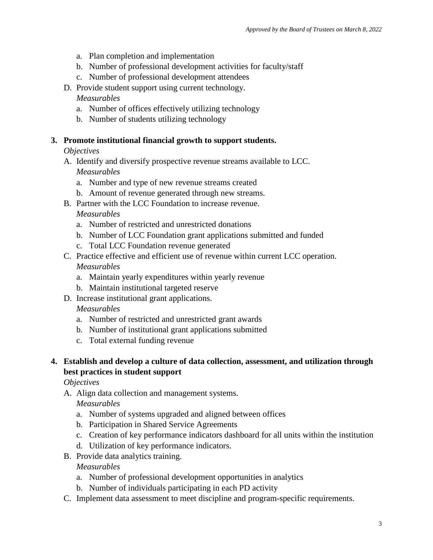- a. Plan completion and implementation
- b. Number of professional development activities for faculty/staff
- c. Number of professional development attendees
- D. Provide student support using current technology.

#### *Measurables*

- a. Number of offices effectively utilizing technology
- b. Number of students utilizing technology

#### **3. Promote institutional financial growth to support students.**

#### *Objectives*

- A. Identify and diversify prospective revenue streams available to LCC. *Measurables*
	- a. Number and type of new revenue streams created
	- b. Amount of revenue generated through new streams.
- B. Partner with the LCC Foundation to increase revenue.

*Measurables*

- a. Number of restricted and unrestricted donations
- b. Number of LCC Foundation grant applications submitted and funded
- c. Total LCC Foundation revenue generated
- C. Practice effective and efficient use of revenue within current LCC operation. *Measurables*
	- a. Maintain yearly expenditures within yearly revenue
	- b. Maintain institutional targeted reserve
- D. Increase institutional grant applications.

#### *Measurables*

- a. Number of restricted and unrestricted grant awards
- b. Number of institutional grant applications submitted
- c. Total external funding revenue

# **4. Establish and develop a culture of data collection, assessment, and utilization through best practices in student support**

*Objectives*

A. Align data collection and management systems.

*Measurables*

- a. Number of systems upgraded and aligned between offices
- b. Participation in Shared Service Agreements
- c. Creation of key performance indicators dashboard for all units within the institution
- d. Utilization of key performance indicators.
- B. Provide data analytics training.

- a. Number of professional development opportunities in analytics
- b. Number of individuals participating in each PD activity
- C. Implement data assessment to meet discipline and program-specific requirements.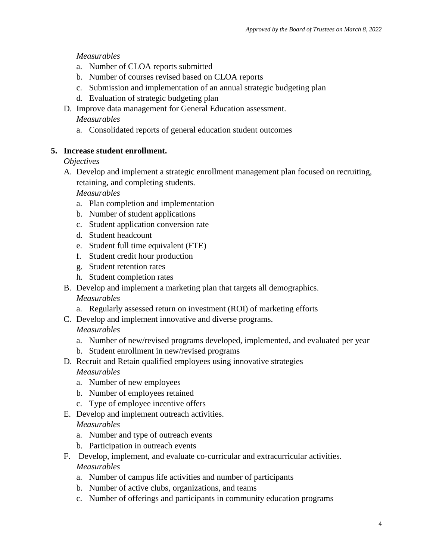# *Measurables*

- a. Number of CLOA reports submitted
- b. Number of courses revised based on CLOA reports
- c. Submission and implementation of an annual strategic budgeting plan
- d. Evaluation of strategic budgeting plan
- D. Improve data management for General Education assessment.

### *Measurables*

a. Consolidated reports of general education student outcomes

# **5. Increase student enrollment.**

## *Objectives*

A. Develop and implement a strategic enrollment management plan focused on recruiting, retaining, and completing students.

*Measurables*

- a. Plan completion and implementation
- b. Number of student applications
- c. Student application conversion rate
- d. Student headcount
- e. Student full time equivalent (FTE)
- f. Student credit hour production
- g. Student retention rates
- h. Student completion rates
- B. Develop and implement a marketing plan that targets all demographics. *Measurables*
	- a. Regularly assessed return on investment (ROI) of marketing efforts
- C. Develop and implement innovative and diverse programs.

# *Measurables*

- a. Number of new/revised programs developed, implemented, and evaluated per year
- b. Student enrollment in new/revised programs
- D. Recruit and Retain qualified employees using innovative strategies

# *Measurables*

- a. Number of new employees
- b. Number of employees retained
- c. Type of employee incentive offers
- E. Develop and implement outreach activities.

- a. Number and type of outreach events
- b. Participation in outreach events
- F. Develop, implement, and evaluate co-curricular and extracurricular activities. *Measurables*
	- a. Number of campus life activities and number of participants
	- b. Number of active clubs, organizations, and teams
	- c. Number of offerings and participants in community education programs